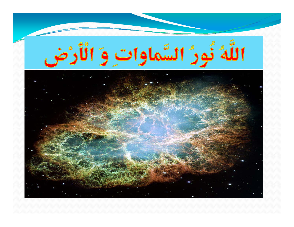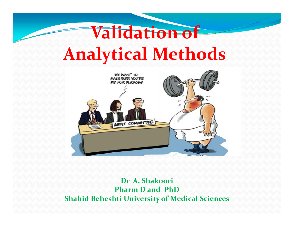# **Validation of Analytical Methods**



#### **Dr A. ShakooriPharm D and PhDShahid Beheshti University of Medical Sciences**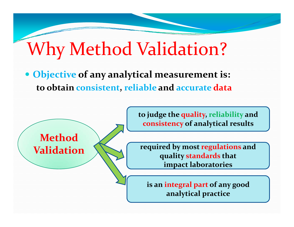#### Why Method Valid hod Validation?

**• Objective of any analytical measurement is: to obtain consistent, reliable and accurate data**

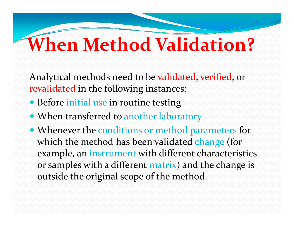# **When Method Validation?**

Analytical methods need to be validated, verified, or revalidated in the following instances:

- Before initial use in routine testing
- When transferred to another laboratory
- Whenever the conditions or method parameters for which the method has been validated change (for example, an instrument with different characteristics or samples with a different matrix) and the change is outside the original scope of the method.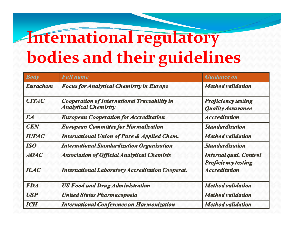# **International regulatory bodies and their guidelines**

| <b>Body</b>     | <b>Full</b> name                                                                   | <b>Guidance on</b>                                          |
|-----------------|------------------------------------------------------------------------------------|-------------------------------------------------------------|
| <b>Eurachem</b> | <b>Focus for Analytical Chemistry in Europe</b>                                    | Method validation                                           |
| <b>CITAC</b>    | <b>Cooperation of International Traceability in</b><br><b>Analytical Chemistry</b> | <b>Proficiency testing</b><br><b>Quality Assurance</b>      |
| <b>EA</b>       | <b>European Cooperation for Accreditation</b>                                      | <b>Accreditation</b>                                        |
| <b>CEN</b>      | <b>European Committee for Normalization</b>                                        | <b>Standardization</b>                                      |
| <b>IUPAC</b>    | <b>International Union of Pure &amp; Applied Chem.</b>                             | <b>Method</b> validation                                    |
| <b>ISO</b>      | <b>International Standardization Organisation</b>                                  | <b>Standardisation</b>                                      |
| <b>AOAC</b>     | <b>Association of Official Analytical Chemists</b>                                 | <b>Internal qual. Control</b><br><b>Proficiency testing</b> |
| <b>ILAC</b>     | <b>International Laboratory Accreditation Cooperat.</b>                            | <b>Accreditation</b>                                        |
| <b>FDA</b>      | <b>US Food and Drug Administration</b>                                             | Method validation                                           |
| <b>USP</b>      | <b>United States Pharmacopoeia</b>                                                 | <b>Method</b> validation                                    |
| <b>ICH</b>      | <b>International Conference on Harmonization</b>                                   | Method validation                                           |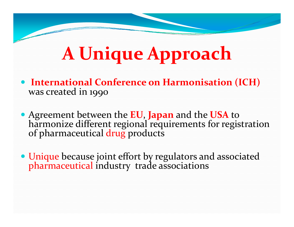# **A Unique Approach**

- **International Conference on Harmonisation (ICH)**  was created in 1990
- Agreement between the **EU**, **Japan** and the **USA** to harmonize different regional requirements for registration of pharmaceutical drug products
- Unique because joint effort by regulators and associated pharmaceutical industry trade associations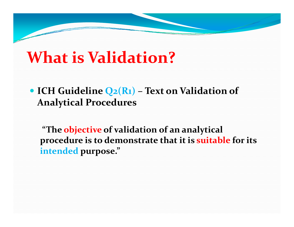## **What is Validation?**

 **ICH Guideline Q2(R1) – Text on Validation of A l i lP d Ana lyt ica l Proce dures**

"The objective of validation of an analytical **procedure is to demonstrate that it is suitable for its intended purpose."**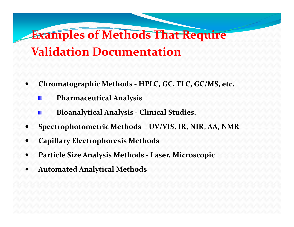#### **Examples of Methods That Require Validation Documentation**

- $\bullet$  **Chromatographic Methods - HPLC, GC, TLC, GC/MS, etc.** 
	- **Pharmaceutical Analysis**
	- **Bioanalytical Analysis - Clinical Studies.**
- $\bullet$  **Spectrophotometric Methods** *–* **UV/VIS IR NIR AA NMR UV/VIS, IR, NIR, AA,**
- $\bullet$ **Capillary Electrophoresis Methods**
- $\bullet$  **Particle Size Analysis Methods Laser Microscopic Laser,**
- $\bullet$ **Automated Analytical Methods**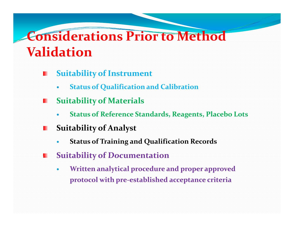## **Considerations Prior to Method Validation**

- **S i bili f I u itability o Instrument**  ш
	- $\bullet$ **Status of Qualification and Calibration**
- **S it bilit f M t i l uit ability o a ter a ls** 
	- $\bullet$ **Status of Reference Standards, Reagents, Placebo Lots**
- **Suitability of Analyst**
	- $\bullet$ **Status of Training and Qualification Records**
- **Suitability of Documentation**
	- $\bullet$  **Written analytical procedure and proper approved protocol with pre-established acceptance criteria**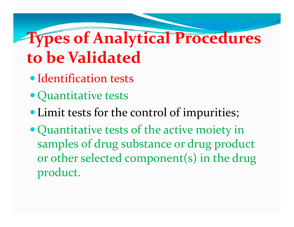# **Types of Analytical Procedures to be Validated**

- Identification tests
- Quantitative tests
- Limit tests for the control of impurities;
- Quantitative tests of the active moiety in samples of drug substance or drug product or other selected component(s) in the drug product.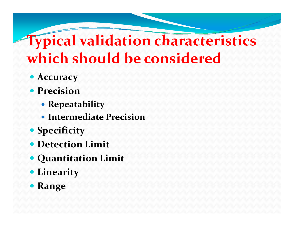## **Typical validation characteristics which should be considered**

- **Accuracy**
- **Precision** 
	- **Repeatabilit y**
	- **Intermediate Precision**
- $\bullet$  Specificity
- **Detection Limit**
- **Quantitation Limit**
- **Linearity**
- **Range**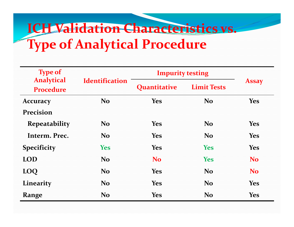## **ICH Validation Characteristics vs. T f A l ti l P d Type o Ana lytica Proce dure**

| <b>Type of</b>                        |                       | <b>Impurity testing</b> |                    |                |
|---------------------------------------|-----------------------|-------------------------|--------------------|----------------|
| <b>Analytical</b><br><b>Procedure</b> | <b>Identification</b> | Quantitative            | <b>Limit Tests</b> | <b>Assay</b>   |
| <b>Accuracy</b>                       | <b>No</b>             | <b>Yes</b>              | <b>No</b>          | <b>Yes</b>     |
| <b>Precision</b>                      |                       |                         |                    |                |
| <b>Repeatability</b>                  | <b>No</b>             | <b>Yes</b>              | <b>No</b>          | <b>Yes</b>     |
| Interm. Prec.                         | N <sub>o</sub>        | <b>Yes</b>              | N <sub>o</sub>     | <b>Yes</b>     |
| <b>Specificity</b>                    | <b>Yes</b>            | <b>Yes</b>              | <b>Yes</b>         | <b>Yes</b>     |
| <b>LOD</b>                            | N <sub>o</sub>        | <b>No</b>               | <b>Yes</b>         | N <sub>o</sub> |
| LOQ                                   | <b>No</b>             | <b>Yes</b>              | N <sub>o</sub>     | N <sub>o</sub> |
| Linearity                             | <b>No</b>             | <b>Yes</b>              | N <sub>o</sub>     | <b>Yes</b>     |
| Range                                 | <b>No</b>             | <b>Yes</b>              | <b>No</b>          | <b>Yes</b>     |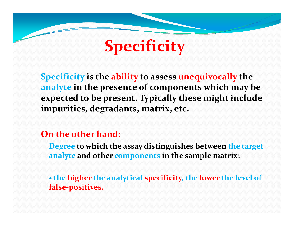# **S ifi it Specificity**

**Specificity is the ability to assess unequivocally the analyte in the presence of components which may be**  expected to be present. Typically these might include **impurities, degradants, matrix, etc.**

#### **On the other hand:**

**Degree to which the assay distinguishes between the target analyte and other components in the sample matrix; matrix;**

 **the higher the analytical specificity, the lower the level of f l a se-posi it ves.**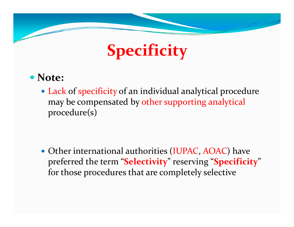# **Specificity**

#### **Note:**

• Lack of specificity of an individual analytical procedure may be compensated by other supporting analytical procedure(s)

• Other international authorities (IUPAC, AOAC) have preferred the term "**Selectivity**" reserving "**Specificity**" for those procedures that are completely selective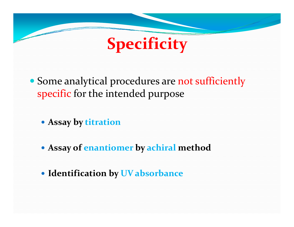

- Some analytical procedures are not sufficiently specific for the intended purpose
	- **Assay by titration**
	- **Assay of enantiomer by achiral method**
	- **Identification by UV absorbance**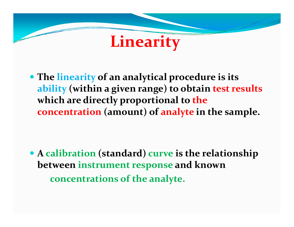# **Linearity**

 **The linearity of an analytical procedure is its ability (within a given range) to obtain test results which are directly proportional to the concentration (amount) of analyte in the sample.**

 **A calibration (standard) curve is the relationship between instrument response and known concentrations of the analyte.**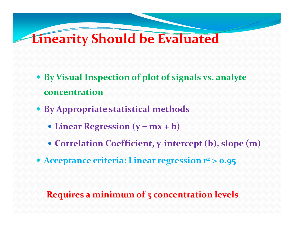#### **Linearity Should be Evaluated**

- **By Visual Inspection of plot of signals vs. analyte concentration**
- **By Appropriate statistical methods**
	- $\bullet$  **Linear Regression** ( $y = mx + b$ )
	- **Correlation Coefficient, y-intercept (b), slope (m)**
- **Acceptance criteria: Linear regression r 2 > 0.95**

#### **Requires a minimum of 5 concentration levels**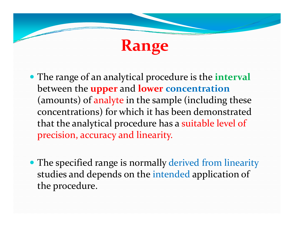# **Range**

- The range of an analytical procedure is the **interval** between the **upper** and **lower concentration** (amounts) of analyte in the sample (including these concentrations) for which it has been demonstrated that the analytical procedure has a suitable level of precision, accuracy and linearity.
- The specified range is normally derived from linearity studies and depends on the intended application of the procedure.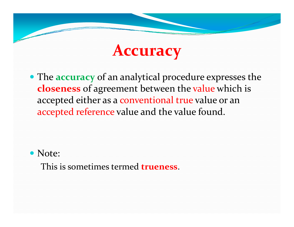## **Accuracy**

 The **accuracy** of an analytical procedure expresses the **closeness** of agreement between the value which is accepted either as a conventional true value or an accepted reference value and the value found.

• Note:

This is sometimes termed **trueness**.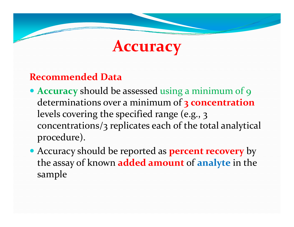## **Accuracy**

#### **Recommended Data**

- **Accuracy** should be assessed using a minimum of 9 determinations over a minimum of 3 concentration levels covering the specified range (e.g., 3 concentrations/3 replicates each of the total analytical procedure).
- **Accuracy should be reported as <b>percent recovery** by the assay of known **added amount** of **analyte** in the sample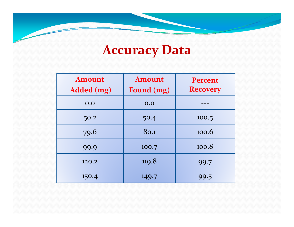## **Accuracy Data**

 $\overline{\phantom{a}}$ 

| <b>Amount</b><br>Added (mg) | <b>Amount</b><br>Found (mg) | <b>Percent</b><br><b>Recovery</b> |
|-----------------------------|-----------------------------|-----------------------------------|
| 0.0                         | 0.0                         |                                   |
| 50.2                        | 50.4                        | 100.5                             |
| 79.6                        | 80.1                        | 100.6                             |
| 99.9                        | 100.7                       | 100.8                             |
| 120.2                       | 119.8                       | 99.7                              |
| 150.4                       | 149.7                       | 99.5                              |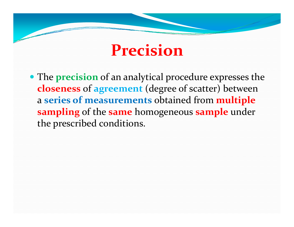## **Precision**

 The **precision** of an analytical procedure expresses the **closeness** of **agreemen<sup>t</sup>** (degree of scatter) between a **series of measurements** obtained from **multiple sampling** of the **same** homogeneous **sample** under the prescribed conditions.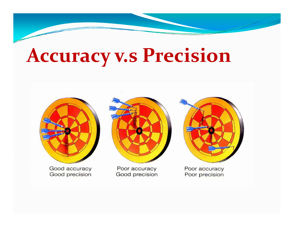# **Accuracy v.s Precision**

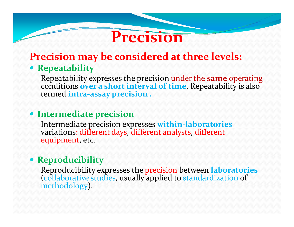#### **Precision**

#### **Precision may be considered at three levels: Repeatability**

Repeatability expresses the precision under the **same** operating conditions **over a short interval of time**. Repeatability is also termed **intra-assay precision .**

#### **Intermediate precision**

Intermediate precision expresses within-laboratories variations: different days, different analysts, different equipment, etc.

#### **Reproducibility**

Reproducibility expresses the precision between **laboratories** (collaborative studies, usually applied to standardization of methodology).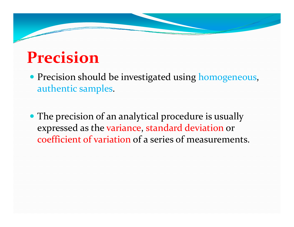## **Precision**

- **Precision should be investigated using homogeneous,** authentic samples.
- The precision of an analytical procedure is usually expressed as the variance, standard deviation or coefficient of variation of a series of measurements.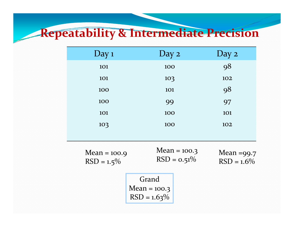#### **Repeatability & Intermediate Precision**

| Day 1                           | Day 2                                     | Day 2                       |  |
|---------------------------------|-------------------------------------------|-----------------------------|--|
| 101                             | 100                                       | 98                          |  |
| 101                             | 103                                       | 102                         |  |
| 100                             | <b>101</b>                                | 98                          |  |
| 100                             | 99                                        | 97                          |  |
| 101                             | 100                                       | <b>101</b>                  |  |
| 103                             | 100                                       | 102                         |  |
|                                 |                                           |                             |  |
| $Mean = 100.9$<br>$RSD = 1.5\%$ | Mean = $100.3$<br>$RSD = 0.51\%$          | Mean =99.7<br>$RSD = 1.6\%$ |  |
|                                 | Grand<br>Mean = $100.3$<br>$RSD = 1.63\%$ |                             |  |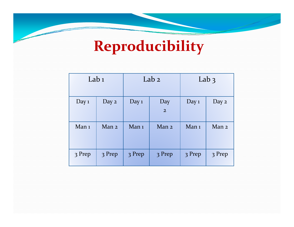## **Reproducibility**

| Lab $1$          |        | Lab <sub>2</sub> |                       | Lab $3$          |                  |
|------------------|--------|------------------|-----------------------|------------------|------------------|
| Day $1$          | Day 2  | Day $1$          | Day<br>$\overline{2}$ | Day $1$          | Day 2            |
| Man <sub>1</sub> | Man 2  | Man <sub>1</sub> | Man 2                 | Man <sub>1</sub> | Man <sub>2</sub> |
| 3 Prep           | 3 Prep | 3 Prep           | 3 Prep                | 3 Prep           | 3 Prep           |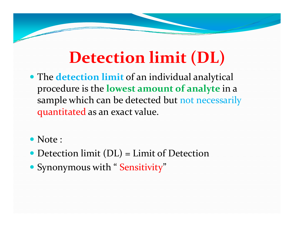# **Detection limit (DL)**

- The **detection limit** of an individual analytical procedure is the **lowest amount of analyte** in a sample which can be detected but not necessarily quantitated as an exact value.
- Note :
- Detection limit (DL) = Limit of Detection
- Synonymous with "Sensitivity"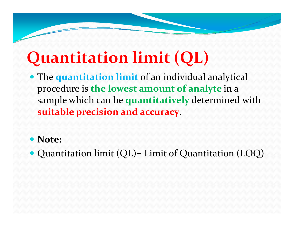# **Quantitation limit (QL)**

 The **quantitation limit** of an individual analytical procedure is **the lowest amount of analyte** in a sample which can be quantitatively determined with **suitable precision and accuracy**.

#### • Note:

• Quantitation limit (QL)  $\overline{z}$ Limit of Quantitation (LOQ)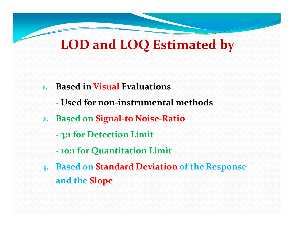#### **LOD d LOQ E ti <sup>t</sup> d b LOD an stima e by**

- **1. Based in Visual Evaluations**
	- **-** Used for non-instrumental methods
- **2. Based on Signal-to Noise-Ratio**
	- **3:1 for Detection Limit**
	- **- 10:1 for Quantitation Limit**
- **3. Based on Standard Deviation of the Response and the Slo p e**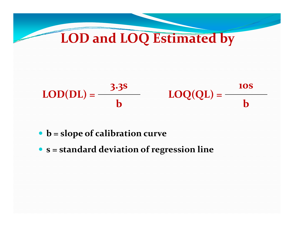## **LOD and LOQ Estimated by**



#### **b = slope of calibration curve**

**s = standard deviation of regression line**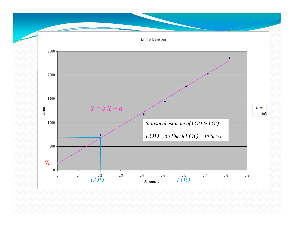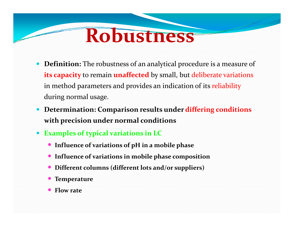# **Robustness**

- 0 **Definition:** The robustness of an analytical procedure is a measure of **its capacity** to remain **unaffected** by small, but deliberate variations in method parameters and provides an indication of its reliability during normal usage.
- $\bullet$  **Determination: Comparison results under differing conditions with precision under normal conditions**
- $\bullet$  **Examples of typical variations in LC**
	- **Influence of variations of pH in a mobile phase**
	- **Influence of variations in mobile phase composition phase**
	- $\bullet$ **Different columns (different lots and/or suppliers)**
	- $\bullet$ **Temperature**
	- $\bullet$ **Flow rate**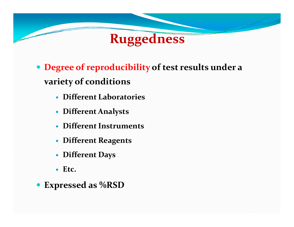

- **Degree of reproducibility of test results under a variety of conditions**
	- **Different Laboratories Laboratories**
	- **Different Analysts**
	- **Different Instruments**
	- **Different Reagents**
	- **Different Days**
	- **Etc.**
- **Expressed as %RSD**